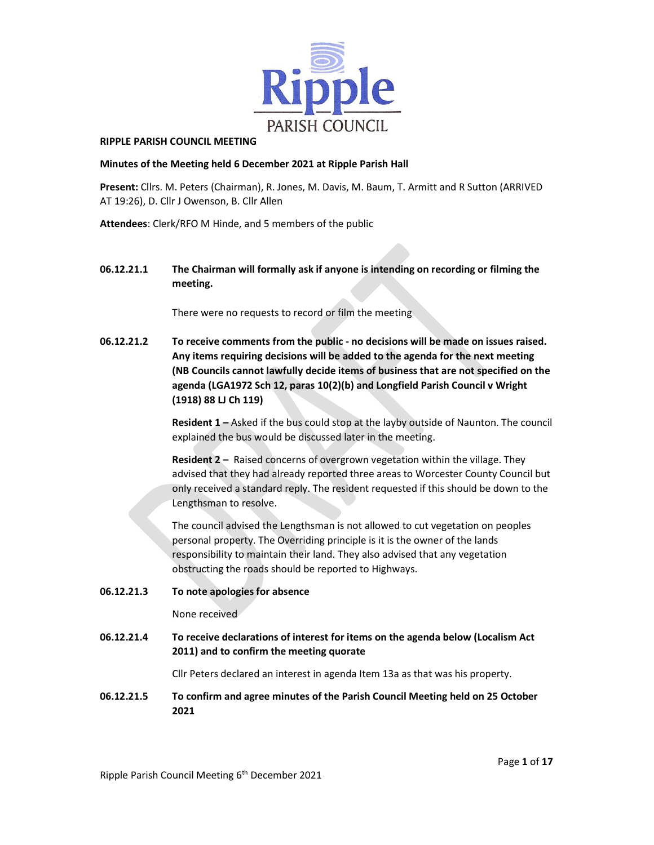

#### RIPPLE PARISH COUNCIL MEETING

#### Minutes of the Meeting held 6 December 2021 at Ripple Parish Hall

Present: Cllrs. M. Peters (Chairman), R. Jones, M. Davis, M. Baum, T. Armitt and R Sutton (ARRIVED AT 19:26), D. Cllr J Owenson, B. Cllr Allen

Attendees: Clerk/RFO M Hinde, and 5 members of the public

06.12.21.1 The Chairman will formally ask if anyone is intending on recording or filming the meeting.

There were no requests to record or film the meeting

06.12.21.2 To receive comments from the public - no decisions will be made on issues raised. Any items requiring decisions will be added to the agenda for the next meeting (NB Councils cannot lawfully decide items of business that are not specified on the agenda (LGA1972 Sch 12, paras 10(2)(b) and Longfield Parish Council v Wright (1918) 88 LJ Ch 119)

> Resident 1 – Asked if the bus could stop at the layby outside of Naunton. The council explained the bus would be discussed later in the meeting.

> Resident 2 - Raised concerns of overgrown vegetation within the village. They advised that they had already reported three areas to Worcester County Council but only received a standard reply. The resident requested if this should be down to the Lengthsman to resolve.

The council advised the Lengthsman is not allowed to cut vegetation on peoples personal property. The Overriding principle is it is the owner of the lands responsibility to maintain their land. They also advised that any vegetation obstructing the roads should be reported to Highways.

06.12.21.3 To note apologies for absence

None received

06.12.21.4 To receive declarations of interest for items on the agenda below (Localism Act 2011) and to confirm the meeting quorate

Cllr Peters declared an interest in agenda Item 13a as that was his property.

06.12.21.5 To confirm and agree minutes of the Parish Council Meeting held on 25 October 2021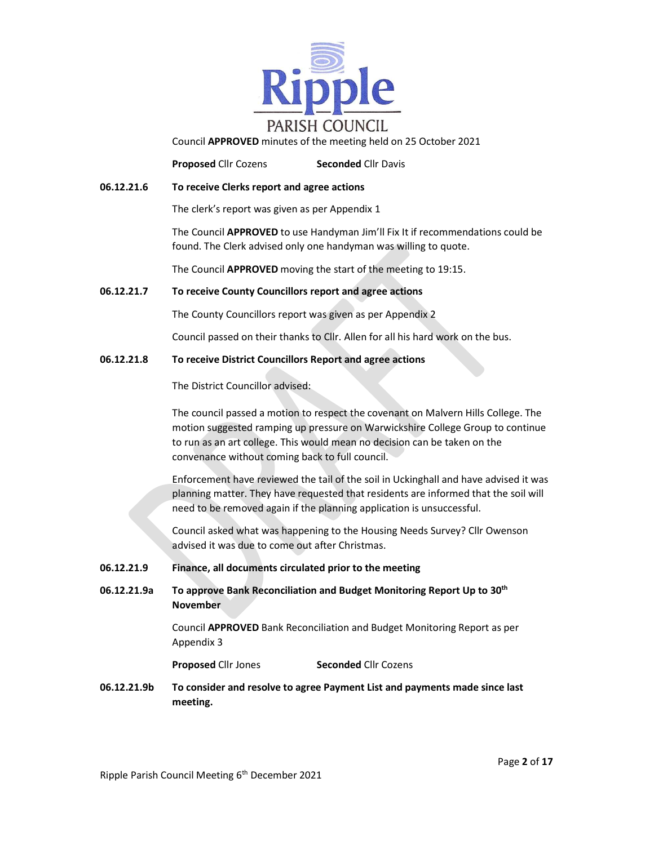

Council APPROVED minutes of the meeting held on 25 October 2021

**Proposed Cllr Cozens Seconded Cllr Davis** 

06.12.21.6 To receive Clerks report and agree actions

The clerk's report was given as per Appendix 1

The Council APPROVED to use Handyman Jim'll Fix It if recommendations could be found. The Clerk advised only one handyman was willing to quote.

The Council APPROVED moving the start of the meeting to 19:15.

#### 06.12.21.7 To receive County Councillors report and agree actions

The County Councillors report was given as per Appendix 2

Council passed on their thanks to Cllr. Allen for all his hard work on the bus.

#### 06.12.21.8 To receive District Councillors Report and agree actions

The District Councillor advised:

 The council passed a motion to respect the covenant on Malvern Hills College. The motion suggested ramping up pressure on Warwickshire College Group to continue to run as an art college. This would mean no decision can be taken on the convenance without coming back to full council.

 Enforcement have reviewed the tail of the soil in Uckinghall and have advised it was planning matter. They have requested that residents are informed that the soil will need to be removed again if the planning application is unsuccessful.

 Council asked what was happening to the Housing Needs Survey? Cllr Owenson advised it was due to come out after Christmas.

#### 06.12.21.9 Finance, all documents circulated prior to the meeting

06.12.21.9a To approve Bank Reconciliation and Budget Monitoring Report Up to 30<sup>th</sup> November

> Council APPROVED Bank Reconciliation and Budget Monitoring Report as per Appendix 3

**Proposed Cllr Jones** Seconded Cllr Cozens

06.12.21.9b To consider and resolve to agree Payment List and payments made since last meeting.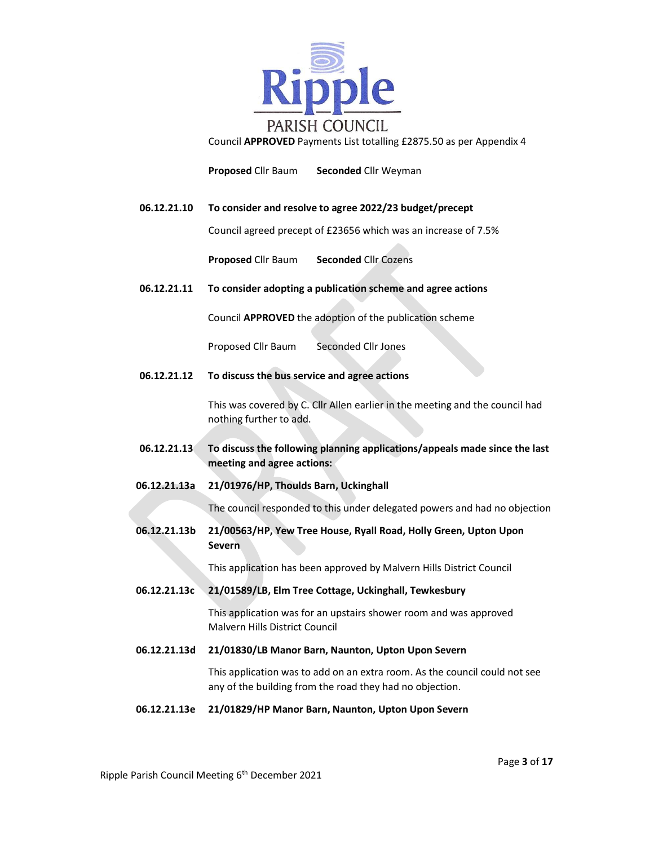

Council APPROVED Payments List totalling £2875.50 as per Appendix 4

Proposed Cllr Baum Seconded Cllr Weyman

#### 06.12.21.10 To consider and resolve to agree 2022/23 budget/precept

Council agreed precept of £23656 which was an increase of 7.5%

Proposed Cllr Baum Seconded Cllr Cozens

#### 06.12.21.11 To consider adopting a publication scheme and agree actions

Council APPROVED the adoption of the publication scheme

Proposed Cllr Baum Seconded Cllr Jones

06.12.21.12 To discuss the bus service and agree actions

 This was covered by C. Cllr Allen earlier in the meeting and the council had nothing further to add.

- 06.12.21.13 To discuss the following planning applications/appeals made since the last meeting and agree actions:
- 06.12.21.13a 21/01976/HP, Thoulds Barn, Uckinghall

The council responded to this under delegated powers and had no objection

06.12.21.13b 21/00563/HP, Yew Tree House, Ryall Road, Holly Green, Upton Upon Severn

This application has been approved by Malvern Hills District Council

06.12.21.13c 21/01589/LB, Elm Tree Cottage, Uckinghall, Tewkesbury

This application was for an upstairs shower room and was approved Malvern Hills District Council

06.12.21.13d 21/01830/LB Manor Barn, Naunton, Upton Upon Severn

This application was to add on an extra room. As the council could not see any of the building from the road they had no objection.

#### 06.12.21.13e 21/01829/HP Manor Barn, Naunton, Upton Upon Severn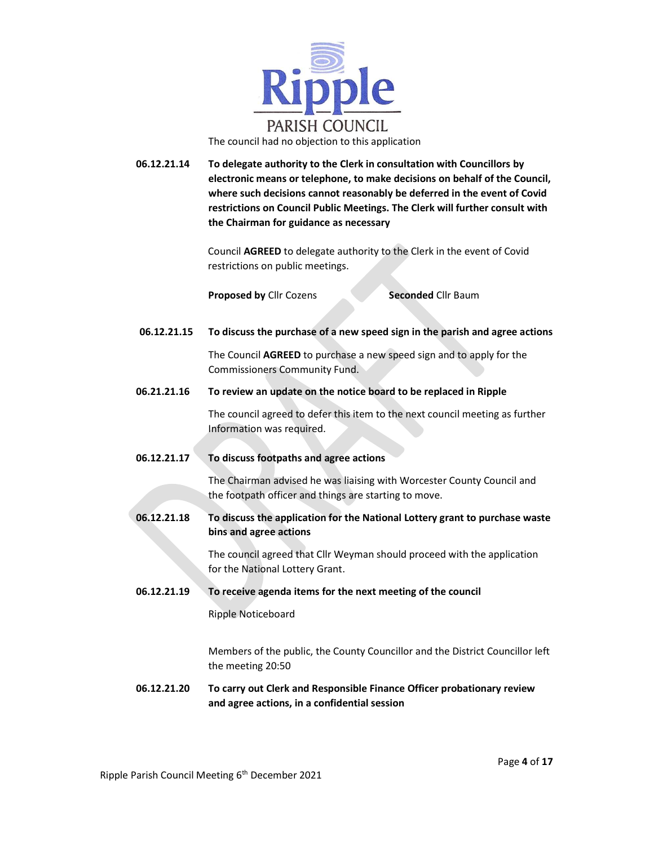

06.12.21.14 To delegate authority to the Clerk in consultation with Councillors by electronic means or telephone, to make decisions on behalf of the Council, where such decisions cannot reasonably be deferred in the event of Covid restrictions on Council Public Meetings. The Clerk will further consult with the Chairman for guidance as necessary

> Council AGREED to delegate authority to the Clerk in the event of Covid restrictions on public meetings.

**Proposed by Clir Cozens Seconded Clir Baum** 

06.12.21.15 To discuss the purchase of a new speed sign in the parish and agree actions

The Council AGREED to purchase a new speed sign and to apply for the Commissioners Community Fund.

06.21.21.16 To review an update on the notice board to be replaced in Ripple

 The council agreed to defer this item to the next council meeting as further Information was required.

06.12.21.17 To discuss footpaths and agree actions

The Chairman advised he was liaising with Worcester County Council and the footpath officer and things are starting to move.

06.12.21.18 To discuss the application for the National Lottery grant to purchase waste bins and agree actions

> The council agreed that Cllr Weyman should proceed with the application for the National Lottery Grant.

 06.12.21.19 To receive agenda items for the next meeting of the council Ripple Noticeboard

> Members of the public, the County Councillor and the District Councillor left the meeting 20:50

#### 06.12.21.20 To carry out Clerk and Responsible Finance Officer probationary review and agree actions, in a confidential session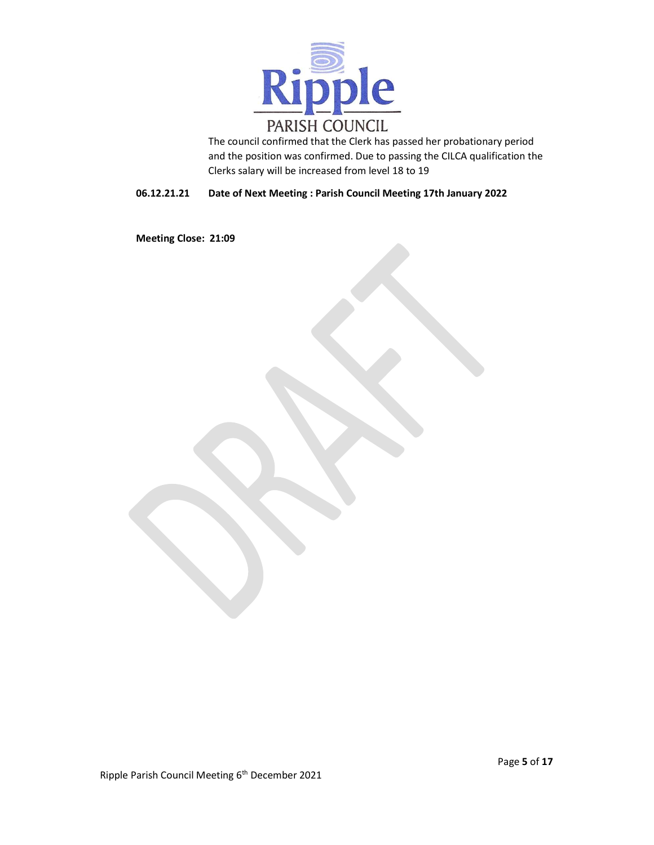

The council confirmed that the Clerk has passed her probationary period and the position was confirmed. Due to passing the CILCA qualification the Clerks salary will be increased from level 18 to 19

#### 06.12.21.21 Date of Next Meeting : Parish Council Meeting 17th January 2022

Meeting Close: 21:09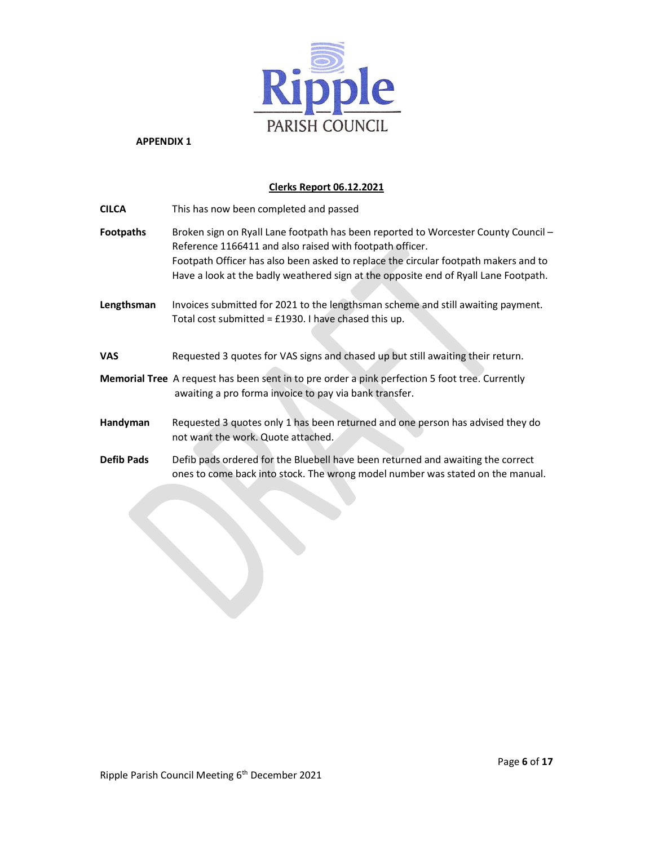

#### Clerks Report 06.12.2021

| <b>CILCA</b>      | This has now been completed and passed                                                                                                                                                                                                                                                                                       |
|-------------------|------------------------------------------------------------------------------------------------------------------------------------------------------------------------------------------------------------------------------------------------------------------------------------------------------------------------------|
| <b>Footpaths</b>  | Broken sign on Ryall Lane footpath has been reported to Worcester County Council -<br>Reference 1166411 and also raised with footpath officer.<br>Footpath Officer has also been asked to replace the circular footpath makers and to<br>Have a look at the badly weathered sign at the opposite end of Ryall Lane Footpath. |
| Lengthsman        | Invoices submitted for 2021 to the lengthsman scheme and still awaiting payment.<br>Total cost submitted = £1930. I have chased this up.                                                                                                                                                                                     |
| <b>VAS</b>        | Requested 3 quotes for VAS signs and chased up but still awaiting their return.                                                                                                                                                                                                                                              |
|                   | <b>Memorial Tree</b> A request has been sent in to pre order a pink perfection 5 foot tree. Currently<br>awaiting a pro forma invoice to pay via bank transfer.                                                                                                                                                              |
| Handyman          | Requested 3 quotes only 1 has been returned and one person has advised they do<br>not want the work. Quote attached.                                                                                                                                                                                                         |
| <b>Defib Pads</b> | Defib pads ordered for the Bluebell have been returned and awaiting the correct<br>ones to come back into stock. The wrong model number was stated on the manual.                                                                                                                                                            |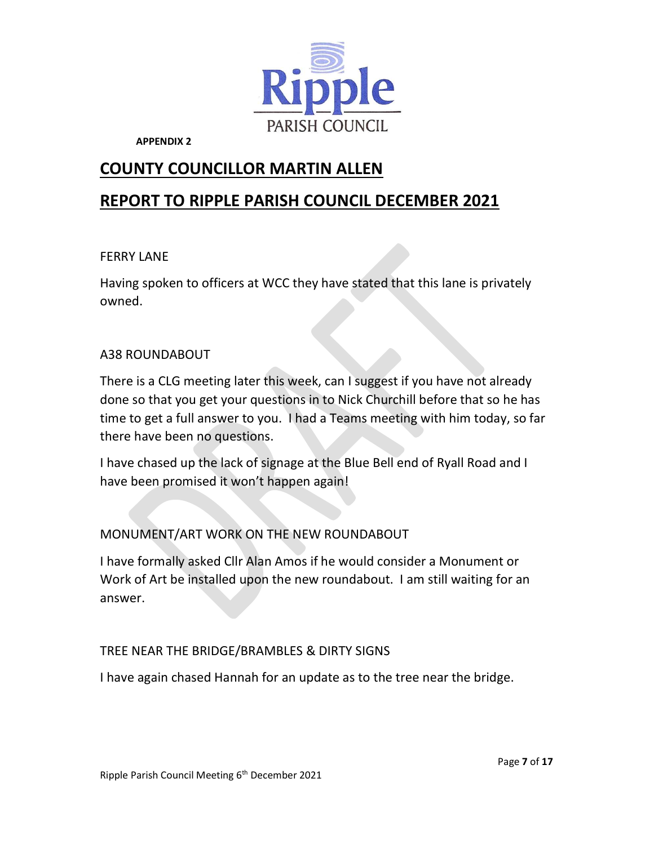

## COUNTY COUNCILLOR MARTIN ALLEN

# REPORT TO RIPPLE PARISH COUNCIL DECEMBER 2021

### FERRY LANE

Having spoken to officers at WCC they have stated that this lane is privately owned.

### A38 ROUNDABOUT

There is a CLG meeting later this week, can I suggest if you have not already done so that you get your questions in to Nick Churchill before that so he has time to get a full answer to you. I had a Teams meeting with him today, so far there have been no questions.

I have chased up the lack of signage at the Blue Bell end of Ryall Road and I have been promised it won't happen again!

### MONUMENT/ART WORK ON THE NEW ROUNDABOUT

I have formally asked Cllr Alan Amos if he would consider a Monument or Work of Art be installed upon the new roundabout. I am still waiting for an answer.

### TREE NEAR THE BRIDGE/BRAMBLES & DIRTY SIGNS

I have again chased Hannah for an update as to the tree near the bridge.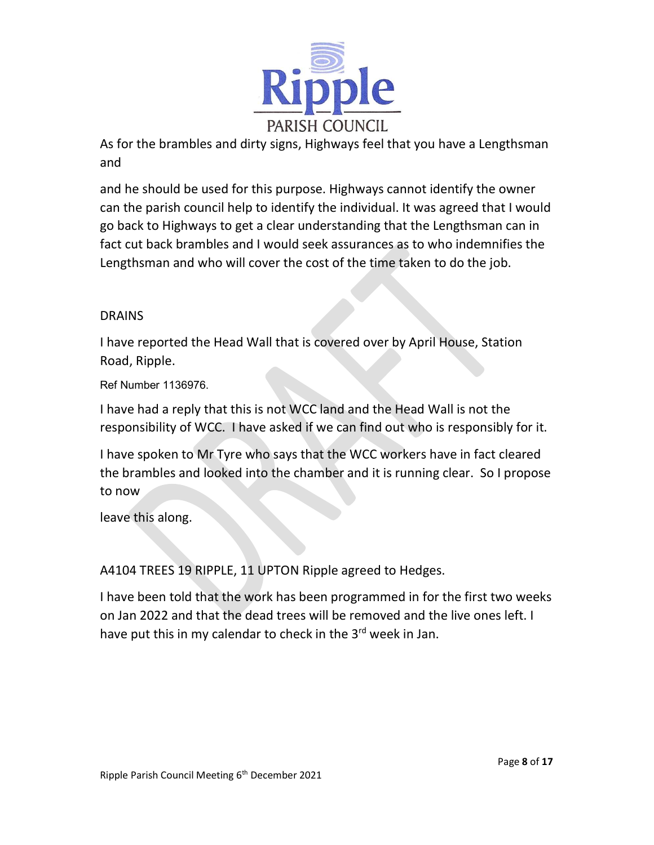

As for the brambles and dirty signs, Highways feel that you have a Lengthsman and

and he should be used for this purpose. Highways cannot identify the owner can the parish council help to identify the individual. It was agreed that I would go back to Highways to get a clear understanding that the Lengthsman can in fact cut back brambles and I would seek assurances as to who indemnifies the Lengthsman and who will cover the cost of the time taken to do the job.

### **DRAINS**

I have reported the Head Wall that is covered over by April House, Station Road, Ripple.

Ref Number 1136976.

I have had a reply that this is not WCC land and the Head Wall is not the responsibility of WCC. I have asked if we can find out who is responsibly for it.

I have spoken to Mr Tyre who says that the WCC workers have in fact cleared the brambles and looked into the chamber and it is running clear. So I propose to now

leave this along.

A4104 TREES 19 RIPPLE, 11 UPTON Ripple agreed to Hedges.

I have been told that the work has been programmed in for the first two weeks on Jan 2022 and that the dead trees will be removed and the live ones left. I have put this in my calendar to check in the 3<sup>rd</sup> week in Jan.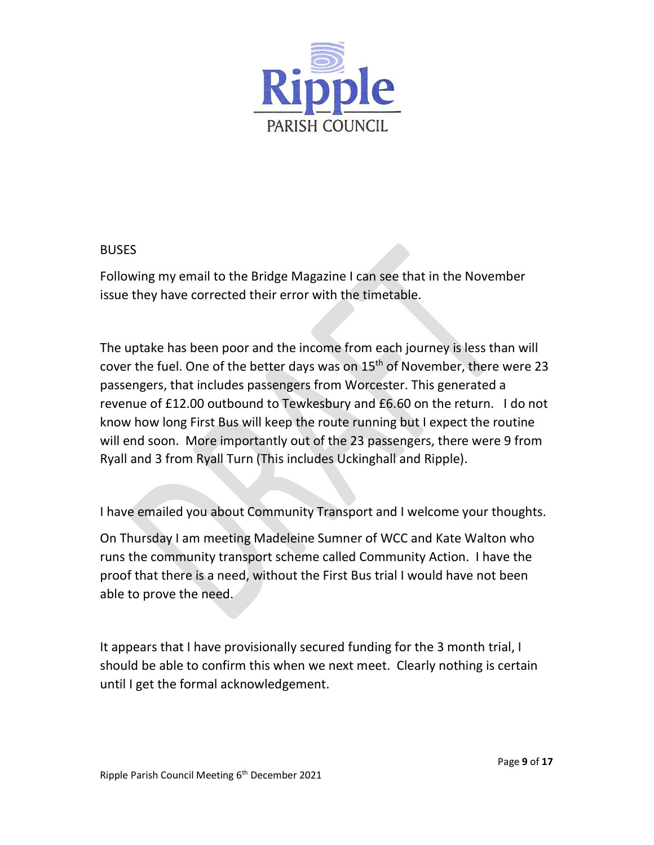

#### **BUSES**

Following my email to the Bridge Magazine I can see that in the November issue they have corrected their error with the timetable.

 The uptake has been poor and the income from each journey is less than will cover the fuel. One of the better days was on 15<sup>th</sup> of November, there were 23 passengers, that includes passengers from Worcester. This generated a revenue of £12.00 outbound to Tewkesbury and £6.60 on the return. I do not know how long First Bus will keep the route running but I expect the routine will end soon. More importantly out of the 23 passengers, there were 9 from Ryall and 3 from Ryall Turn (This includes Uckinghall and Ripple).

I have emailed you about Community Transport and I welcome your thoughts.

On Thursday I am meeting Madeleine Sumner of WCC and Kate Walton who runs the community transport scheme called Community Action. I have the proof that there is a need, without the First Bus trial I would have not been able to prove the need.

It appears that I have provisionally secured funding for the 3 month trial, I should be able to confirm this when we next meet. Clearly nothing is certain until I get the formal acknowledgement.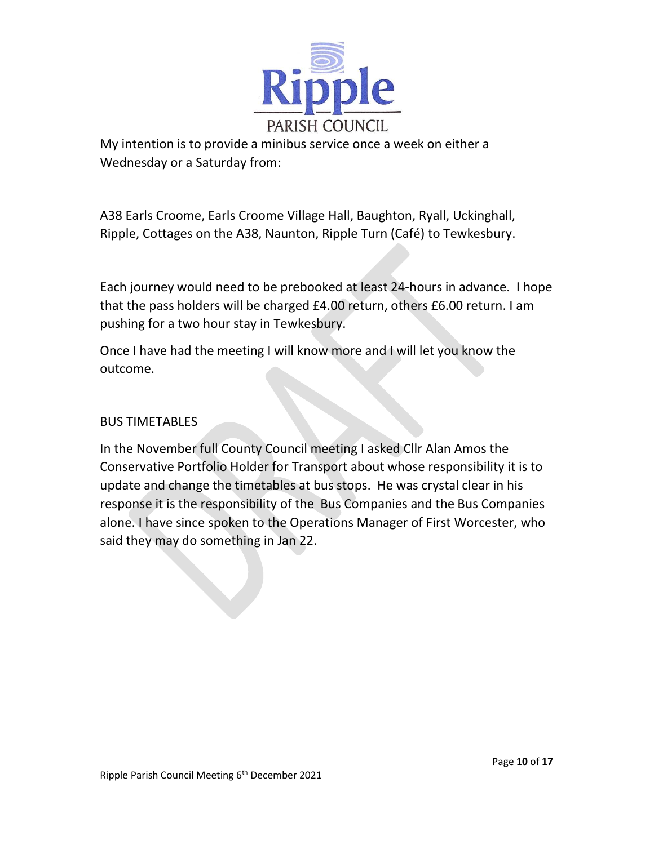

My intention is to provide a minibus service once a week on either a Wednesday or a Saturday from:

A38 Earls Croome, Earls Croome Village Hall, Baughton, Ryall, Uckinghall, Ripple, Cottages on the A38, Naunton, Ripple Turn (Café) to Tewkesbury.

Each journey would need to be prebooked at least 24-hours in advance. I hope that the pass holders will be charged £4.00 return, others £6.00 return. I am pushing for a two hour stay in Tewkesbury.

Once I have had the meeting I will know more and I will let you know the outcome.

### BUS TIMETABLES

In the November full County Council meeting I asked Cllr Alan Amos the Conservative Portfolio Holder for Transport about whose responsibility it is to update and change the timetables at bus stops. He was crystal clear in his response it is the responsibility of the Bus Companies and the Bus Companies alone. I have since spoken to the Operations Manager of First Worcester, who said they may do something in Jan 22.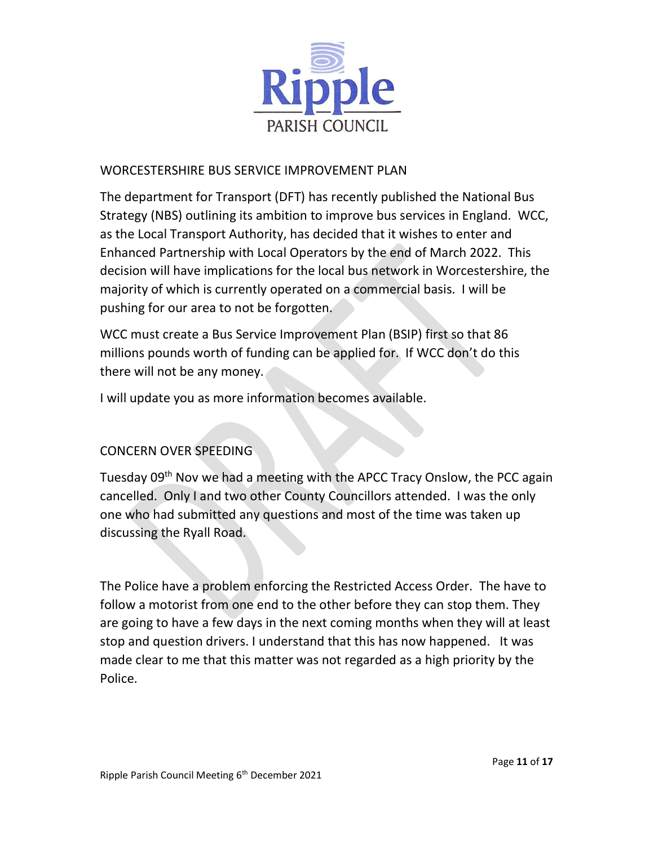

### WORCESTERSHIRE BUS SERVICE IMPROVEMENT PLAN

The department for Transport (DFT) has recently published the National Bus Strategy (NBS) outlining its ambition to improve bus services in England. WCC, as the Local Transport Authority, has decided that it wishes to enter and Enhanced Partnership with Local Operators by the end of March 2022. This decision will have implications for the local bus network in Worcestershire, the majority of which is currently operated on a commercial basis. I will be pushing for our area to not be forgotten.

WCC must create a Bus Service Improvement Plan (BSIP) first so that 86 millions pounds worth of funding can be applied for. If WCC don't do this there will not be any money.

I will update you as more information becomes available.

## CONCERN OVER SPEEDING

Tuesday 09<sup>th</sup> Nov we had a meeting with the APCC Tracy Onslow, the PCC again cancelled. Only I and two other County Councillors attended. I was the only one who had submitted any questions and most of the time was taken up discussing the Ryall Road.

The Police have a problem enforcing the Restricted Access Order. The have to follow a motorist from one end to the other before they can stop them. They are going to have a few days in the next coming months when they will at least stop and question drivers. I understand that this has now happened. It was made clear to me that this matter was not regarded as a high priority by the Police.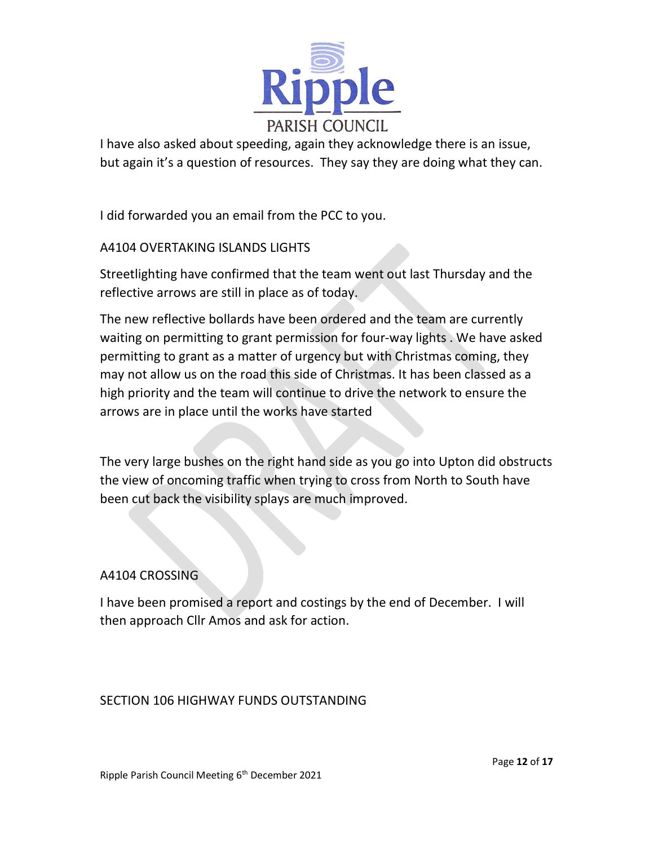

I have also asked about speeding, again they acknowledge there is an issue, but again it's a question of resources. They say they are doing what they can.

I did forwarded you an email from the PCC to you.

### A4104 OVERTAKING ISLANDS LIGHTS

Streetlighting have confirmed that the team went out last Thursday and the reflective arrows are still in place as of today.

The new reflective bollards have been ordered and the team are currently waiting on permitting to grant permission for four-way lights . We have asked permitting to grant as a matter of urgency but with Christmas coming, they may not allow us on the road this side of Christmas. It has been classed as a high priority and the team will continue to drive the network to ensure the arrows are in place until the works have started

The very large bushes on the right hand side as you go into Upton did obstructs the view of oncoming traffic when trying to cross from North to South have been cut back the visibility splays are much improved.

### A4104 CROSSING

I have been promised a report and costings by the end of December. I will then approach Cllr Amos and ask for action.

#### SECTION 106 HIGHWAY FUNDS OUTSTANDING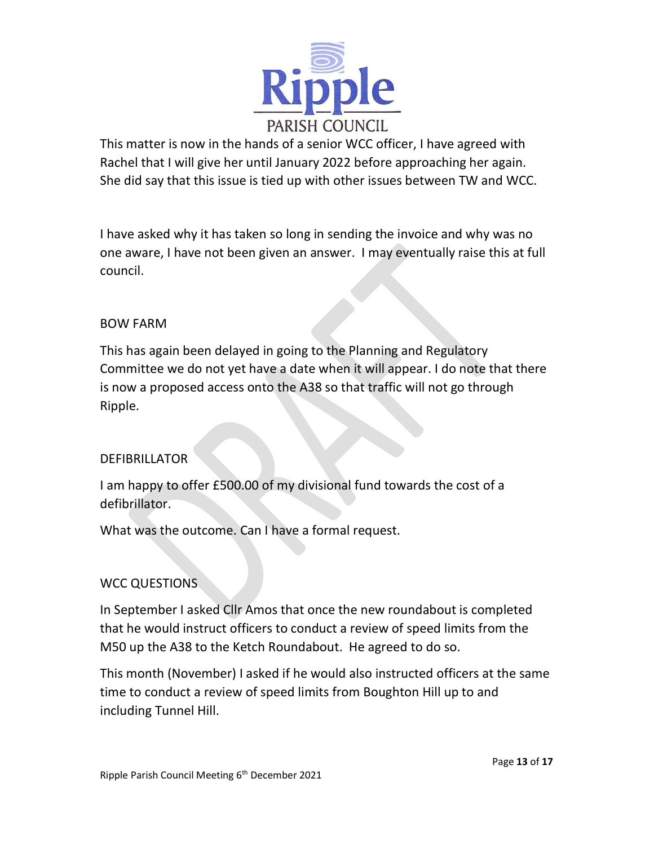

This matter is now in the hands of a senior WCC officer, I have agreed with Rachel that I will give her until January 2022 before approaching her again. She did say that this issue is tied up with other issues between TW and WCC.

I have asked why it has taken so long in sending the invoice and why was no one aware, I have not been given an answer. I may eventually raise this at full council.

### BOW FARM

This has again been delayed in going to the Planning and Regulatory Committee we do not yet have a date when it will appear. I do note that there is now a proposed access onto the A38 so that traffic will not go through Ripple.

### **DEFIBRILLATOR**

I am happy to offer £500.00 of my divisional fund towards the cost of a defibrillator.

What was the outcome. Can I have a formal request.

### WCC QUESTIONS

In September I asked Cllr Amos that once the new roundabout is completed that he would instruct officers to conduct a review of speed limits from the M50 up the A38 to the Ketch Roundabout. He agreed to do so.

This month (November) I asked if he would also instructed officers at the same time to conduct a review of speed limits from Boughton Hill up to and including Tunnel Hill.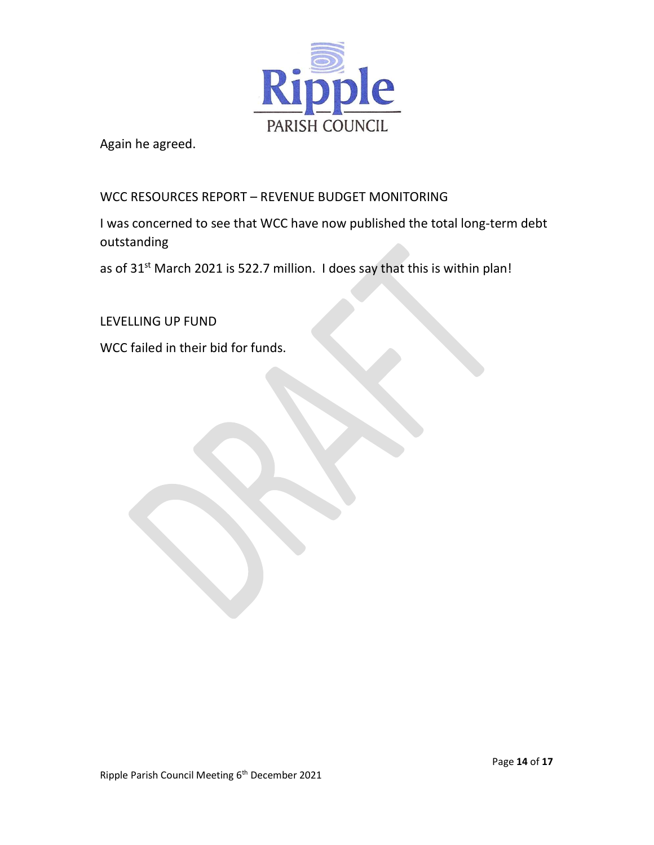

Again he agreed.

### WCC RESOURCES REPORT – REVENUE BUDGET MONITORING

I was concerned to see that WCC have now published the total long-term debt outstanding

as of 31<sup>st</sup> March 2021 is 522.7 million. I does say that this is within plan!

LEVELLING UP FUND

WCC failed in their bid for funds.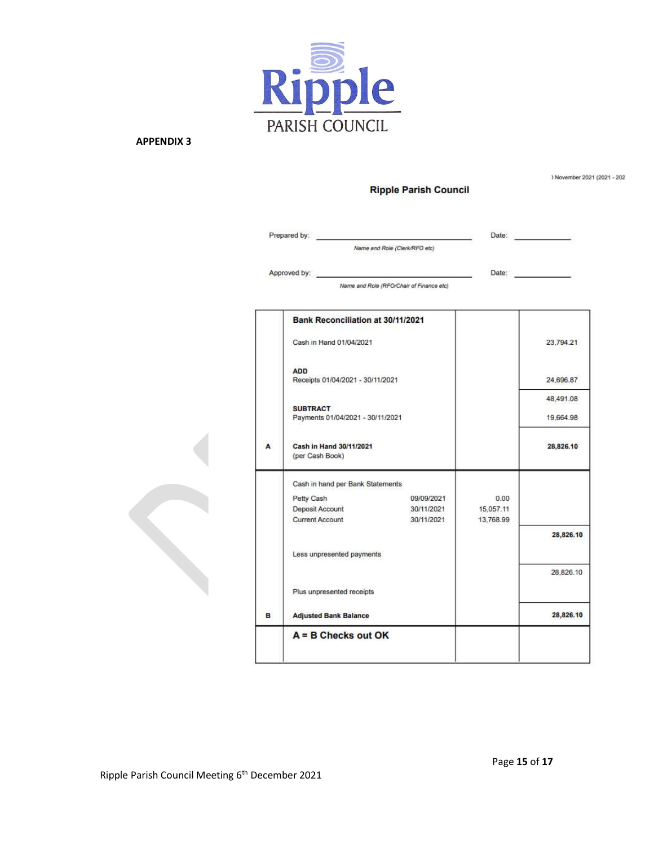

) November 2021 (2021 - 202

|   | Prepared by:                                        | Name and Role (Clerk/RFO etc)            | Date:     |           |
|---|-----------------------------------------------------|------------------------------------------|-----------|-----------|
|   |                                                     |                                          |           |           |
|   | Approved by:                                        |                                          | Date:     |           |
|   |                                                     | Name and Role (RFO/Chair of Finance etc) |           |           |
|   | Bank Reconciliation at 30/11/2021                   |                                          |           |           |
|   | Cash in Hand 01/04/2021                             |                                          |           | 23,794.21 |
|   | <b>ADD</b><br>Receipts 01/04/2021 - 30/11/2021      |                                          |           | 24,696.87 |
|   |                                                     |                                          |           | 48,491.08 |
|   | <b>SUBTRACT</b><br>Payments 01/04/2021 - 30/11/2021 |                                          |           | 19,664.98 |
| A | Cash in Hand 30/11/2021<br>(per Cash Book)          |                                          |           | 28,826.10 |
|   | Cash in hand per Bank Statements                    |                                          |           |           |
|   | Petty Cash                                          | 09/09/2021                               | 0.00      |           |
|   | Deposit Account                                     | 30/11/2021                               | 15.057.11 |           |
|   | <b>Current Account</b>                              | 30/11/2021                               | 13,768.99 |           |
|   |                                                     |                                          |           | 28,826.10 |
|   | Less unpresented payments                           |                                          |           |           |
|   |                                                     |                                          |           | 28,826.10 |
|   | Plus unpresented receipts                           |                                          |           |           |
| в | <b>Adjusted Bank Balance</b>                        |                                          |           | 28,826.10 |
|   | $A = B$ Checks out OK                               |                                          |           |           |
|   |                                                     |                                          |           |           |

**Ripple Parish Council**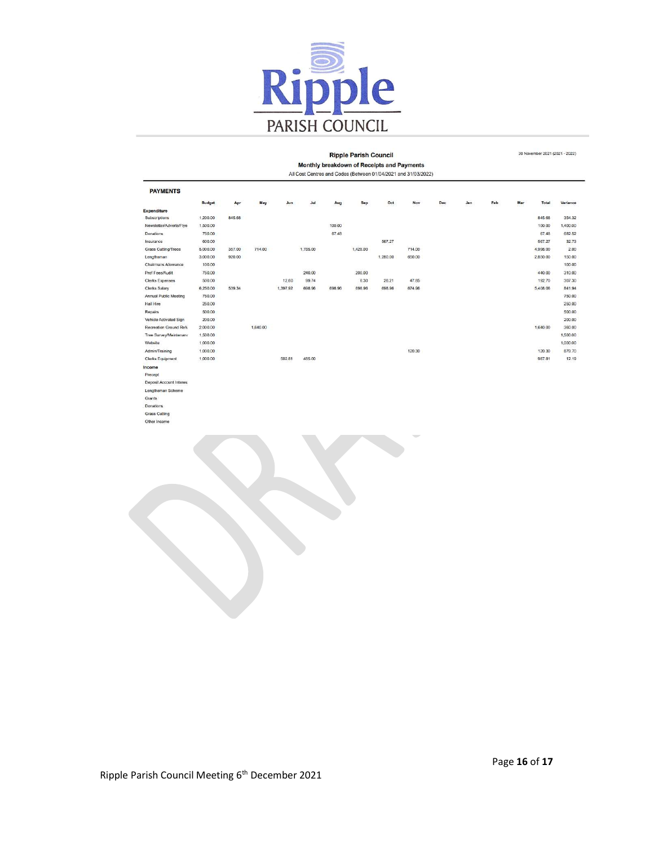

#### **Ripple Parish Council**

Monthly breakdown of Receipts and Payments<br>All Cost Centres and Codes (Between 01/04/2021 and 31/03/2022)

| <b>PAYMENTS</b>         |               |        |          |          |          |        |          |          |        |     |     |     |     |          |          |
|-------------------------|---------------|--------|----------|----------|----------|--------|----------|----------|--------|-----|-----|-----|-----|----------|----------|
|                         | <b>Budget</b> | Apr    | May      | Jun      | Jul      | Aug    | Sep      | Oct      | Nov    | Dec | Jan | Feb | Mar | Total    | Variance |
| <b>Expenditure</b>      |               |        |          |          |          |        |          |          |        |     |     |     |     |          |          |
| Subscriptions           | 1,200.00      | 845.68 |          |          |          |        |          |          |        |     |     |     |     | 845.68   | 354.32   |
| Newsletter/Adverts/Flye | 1,500.00      |        |          |          |          | 100.00 |          |          |        |     |     |     |     | 100.00   | 1,400.00 |
| Donations               | 750.00        |        |          |          |          | 67.48  |          |          |        |     |     |     |     | 67.48    | 682.52   |
| Insurance               | 600.00        |        |          |          |          |        |          | 567.27   |        |     |     |     |     | 567.27   | 32.73    |
| Grass Cutting/Trees     | 5,000.00      | 357.00 | 714.00   |          | 1,785.00 |        | 1,428.00 |          | 714.00 |     |     |     |     | 4,998.00 | 2.00     |
| Lengthsman              | 3,000.00      | 920.00 |          |          |          |        |          | 1,280.00 | 650.00 |     |     |     |     | 2,850.00 | 150.00   |
| Chairmans Allowance     | 100.00        |        |          |          |          |        |          |          |        |     |     |     |     |          | 100.00   |
| Prof Fees/Audit         | 750.00        |        |          |          | 240.00   |        | 200.00   |          |        |     |     |     |     | 440.00   | 310.00   |
| <b>Clerks Expenses</b>  | 500.00        |        |          | 12.60    | 99.74    |        | 6.30     | 26.21    | 47.85  |     |     |     |     | 192,70   | 307.30   |
| <b>Clerks Salary</b>    | 6,250.00      | 539.34 |          | 1,397.92 | 698.96   | 698.96 | 698.96   | 698.96   | 674.96 |     |     |     |     | 5,408.06 | 841.94   |
| Annual Public Meeting   | 750.00        |        |          |          |          |        |          |          |        |     |     |     |     |          | 750.00   |
| Hall Hire               | 250.00        |        |          |          |          |        |          |          |        |     |     |     |     |          | 250.00   |
| Repairs                 | 500.00        |        |          |          |          |        |          |          |        |     |     |     |     |          | 500.00   |
| Vehicle Activated Sign  | 200.00        |        |          |          |          |        |          |          |        |     |     |     |     |          | 200.00   |
| Recreation Ground Refu  | 2,000.00      |        | 1,640.00 |          |          |        |          |          |        |     |     |     |     | 1,640.00 | 360.00   |
| Tree Survey/Maintenand  | 1,500.00      |        |          |          |          |        |          |          |        |     |     |     |     |          | 1,500.00 |
| Website                 | 1,000.00      |        |          |          |          |        |          |          |        |     |     |     |     |          | 1,000.00 |
| Admin/Training          | 1,000.00      |        |          |          |          |        |          |          | 120.30 |     |     |     |     | 120.30   | 879.70   |
| <b>Clerks Equipment</b> | 1,000.00      |        |          | 502.81   | 485.00   |        |          |          |        |     |     |     |     | 987.81   | 12.19    |
| Income                  |               |        |          |          |          |        |          |          |        |     |     |     |     |          |          |
| Precept                 |               |        |          |          |          |        |          |          |        |     |     |     |     |          |          |
| Deposit Account Interes |               |        |          |          |          |        |          |          |        |     |     |     |     |          |          |
| Lengtheman Scheme       |               |        |          |          |          |        |          |          |        |     |     |     |     |          |          |

Grants Donation Grass Cutting Other Income

30 November 2021 (2021 - 2022)